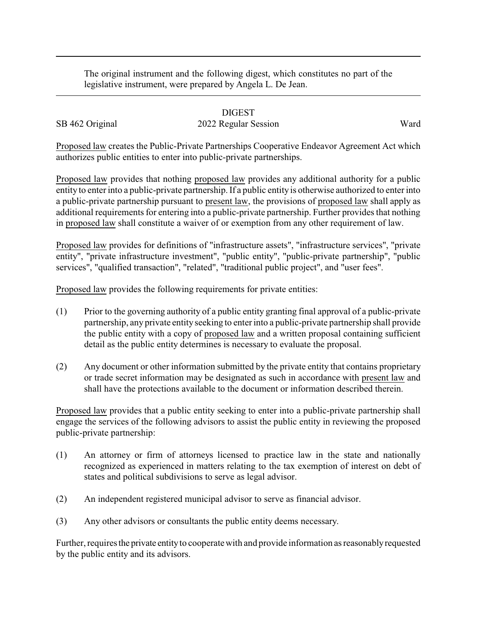The original instrument and the following digest, which constitutes no part of the legislative instrument, were prepared by Angela L. De Jean.

## DIGEST

## SB 462 Original 2022 Regular Session Ward

Proposed law creates the Public-Private Partnerships Cooperative Endeavor Agreement Act which authorizes public entities to enter into public-private partnerships.

Proposed law provides that nothing proposed law provides any additional authority for a public entity to enter into a public-private partnership. If a public entity is otherwise authorized to enter into a public-private partnership pursuant to present law, the provisions of proposed law shall apply as additional requirements for entering into a public-private partnership. Further provides that nothing in proposed law shall constitute a waiver of or exemption from any other requirement of law.

Proposed law provides for definitions of "infrastructure assets", "infrastructure services", "private entity", "private infrastructure investment", "public entity", "public-private partnership", "public services", "qualified transaction", "related", "traditional public project", and "user fees".

Proposed law provides the following requirements for private entities:

- (1) Prior to the governing authority of a public entity granting final approval of a public-private partnership, any private entity seeking to enter into a public-private partnership shall provide the public entity with a copy of proposed law and a written proposal containing sufficient detail as the public entity determines is necessary to evaluate the proposal.
- (2) Any document or other information submitted by the private entity that contains proprietary or trade secret information may be designated as such in accordance with present law and shall have the protections available to the document or information described therein.

Proposed law provides that a public entity seeking to enter into a public-private partnership shall engage the services of the following advisors to assist the public entity in reviewing the proposed public-private partnership:

- (1) An attorney or firm of attorneys licensed to practice law in the state and nationally recognized as experienced in matters relating to the tax exemption of interest on debt of states and political subdivisions to serve as legal advisor.
- (2) An independent registered municipal advisor to serve as financial advisor.
- (3) Any other advisors or consultants the public entity deems necessary.

Further, requires the private entity to cooperate with and provide information as reasonably requested by the public entity and its advisors.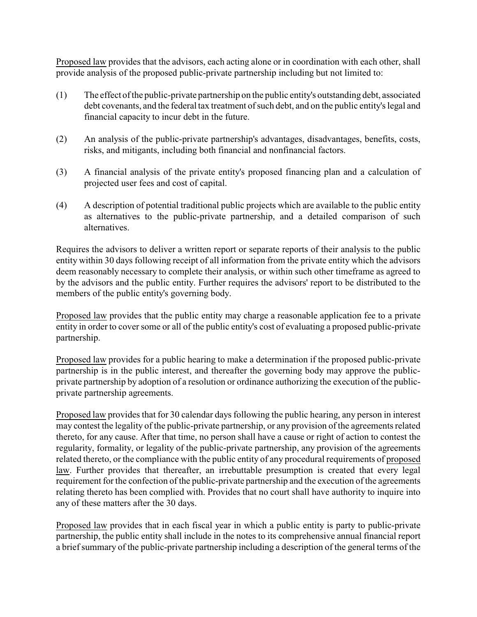Proposed law provides that the advisors, each acting alone or in coordination with each other, shall provide analysis of the proposed public-private partnership including but not limited to:

- (1) The effect of the public-private partnership on the public entity's outstanding debt, associated debt covenants, and the federal tax treatment of such debt, and on the public entity's legal and financial capacity to incur debt in the future.
- (2) An analysis of the public-private partnership's advantages, disadvantages, benefits, costs, risks, and mitigants, including both financial and nonfinancial factors.
- (3) A financial analysis of the private entity's proposed financing plan and a calculation of projected user fees and cost of capital.
- (4) A description of potential traditional public projects which are available to the public entity as alternatives to the public-private partnership, and a detailed comparison of such alternatives.

Requires the advisors to deliver a written report or separate reports of their analysis to the public entity within 30 days following receipt of all information from the private entity which the advisors deem reasonably necessary to complete their analysis, or within such other timeframe as agreed to by the advisors and the public entity. Further requires the advisors' report to be distributed to the members of the public entity's governing body.

Proposed law provides that the public entity may charge a reasonable application fee to a private entity in order to cover some or all of the public entity's cost of evaluating a proposed public-private partnership.

Proposed law provides for a public hearing to make a determination if the proposed public-private partnership is in the public interest, and thereafter the governing body may approve the publicprivate partnership by adoption of a resolution or ordinance authorizing the execution of the publicprivate partnership agreements.

Proposed law provides that for 30 calendar days following the public hearing, any person in interest may contest the legality of the public-private partnership, or any provision of the agreements related thereto, for any cause. After that time, no person shall have a cause or right of action to contest the regularity, formality, or legality of the public-private partnership, any provision of the agreements related thereto, or the compliance with the public entity of any procedural requirements of proposed law. Further provides that thereafter, an irrebuttable presumption is created that every legal requirement for the confection of the public-private partnership and the execution of the agreements relating thereto has been complied with. Provides that no court shall have authority to inquire into any of these matters after the 30 days.

Proposed law provides that in each fiscal year in which a public entity is party to public-private partnership, the public entity shall include in the notes to its comprehensive annual financial report a brief summary of the public-private partnership including a description of the general terms of the